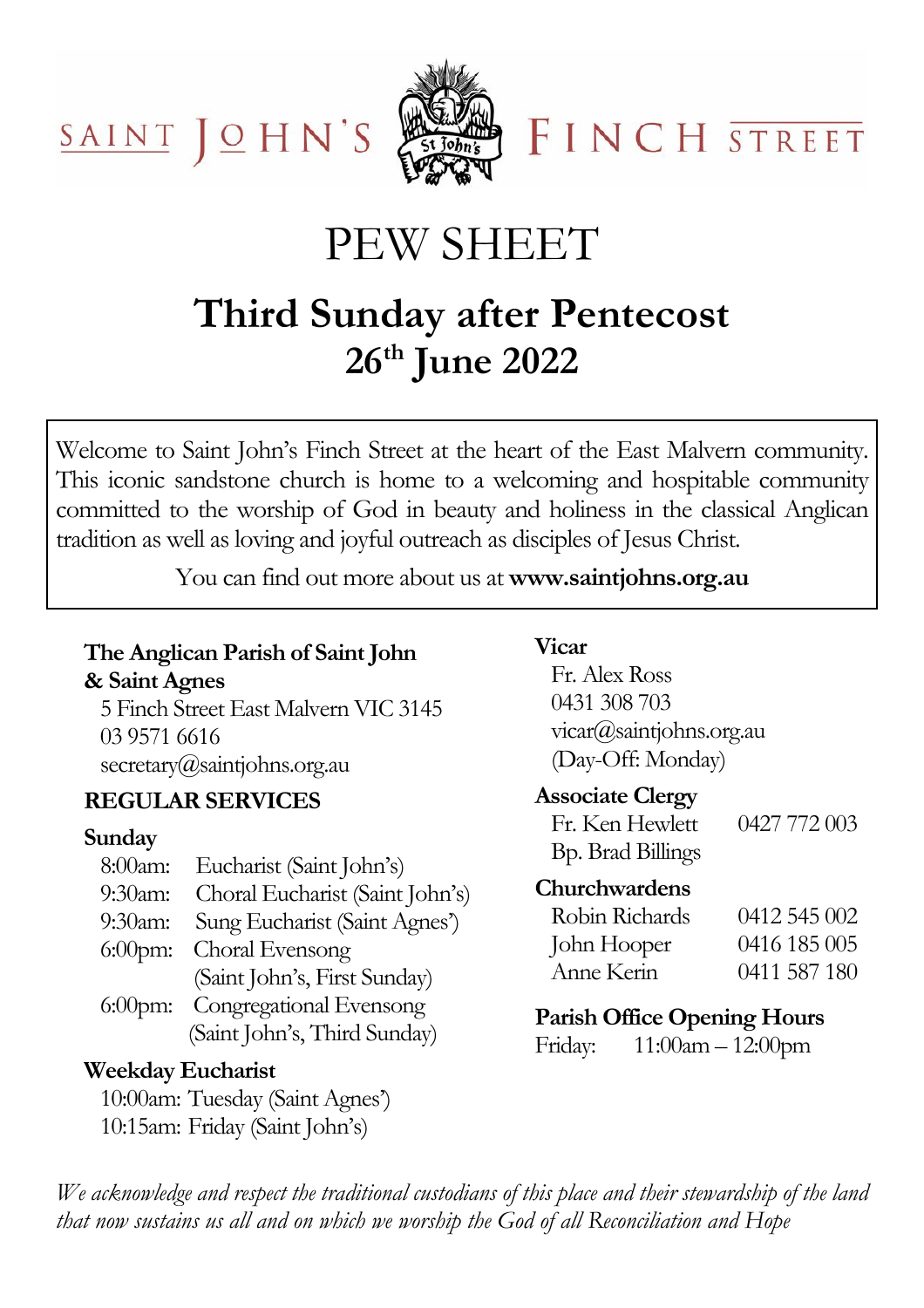SAINT JOHN'S



FINCH STREET

# PEW SHEET

# **Third Sunday after Pentecost 26th June 2022**

Welcome to Saint John's Finch Street at the heart of the East Malvern community. This iconic sandstone church is home to a welcoming and hospitable community committed to the worship of God in beauty and holiness in the classical Anglican tradition as well as loving and joyful outreach as disciples of Jesus Christ.

You can find out more about us at **www.saintjohns.org.au**

## **The Anglican Parish of Saint John & Saint Agnes**

 5 Finch Street East Malvern VIC 3145 03 9571 6616 secretary@saintjohns.org.au

#### **REGULAR SERVICES**

#### **Sunday**

| $8:00$ am: | Eucharist (Saint John's)        |
|------------|---------------------------------|
| $9:30$ am: | Choral Eucharist (Saint John's) |
| $9:30$ am: | Sung Eucharist (Saint Agnes')   |
| $6:00$ pm: | Choral Evensong                 |
|            | (Saint John's, First Sunday)    |
| $6:00$ pm: | Congregational Evensong         |
|            | (Saint John's, Third Sunday)    |
|            |                                 |

#### **Weekday Eucharist**

 10:00am: Tuesday (Saint Agnes') 10:15am: Friday (Saint John's)

#### **Vicar**

 Fr. Alex Ross 0431 308 703 vicar@saintjohns.org.au (Day-Off: Monday)

#### **Associate Clergy**

 Fr. Ken Hewlett 0427 772 003 Bp. Brad Billings

#### **Churchwardens**

| Robin Richards | 0412 545 002 |
|----------------|--------------|
| John Hooper    | 0416 185 005 |
| Anne Kerin     | 0411 587 180 |

## **Parish Office Opening Hours**

Friday: 11:00am – 12:00pm

*We acknowledge and respect the traditional custodians of this place and their stewardship of the land that now sustains us all and on which we worship the God of all Reconciliation and Hope*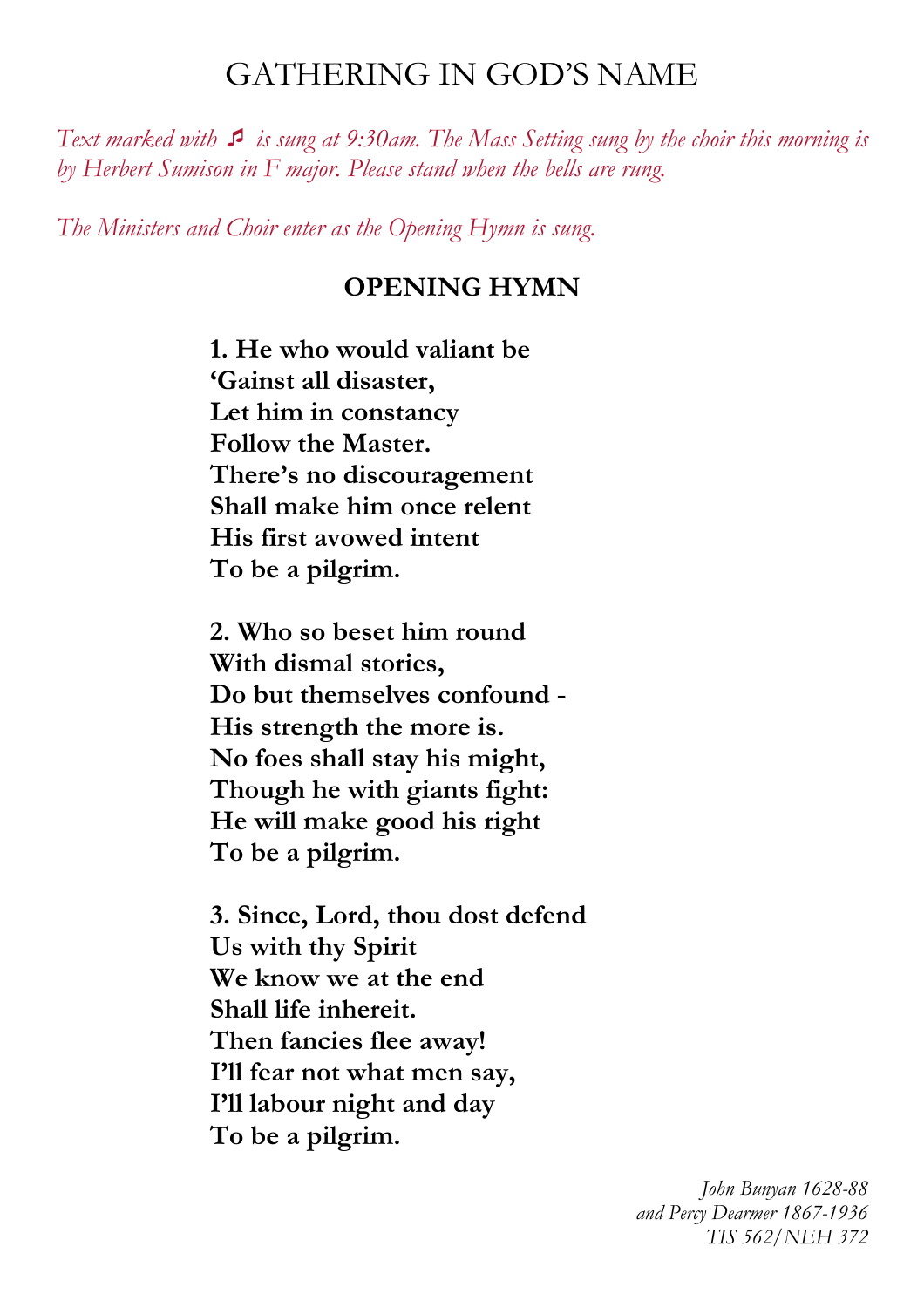## GATHERING IN GOD'S NAME

Text marked with **Ⅰ** *is sung at 9:30am.* The Mass Setting sung by the choir this morning is *by Herbert Sumison in F major. Please stand when the bells are rung.* 

*The Ministers and Choir enter as the Opening Hymn is sung.*

#### **OPENING HYMN**

**1. He who would valiant be 'Gainst all disaster, Let him in constancy Follow the Master. There's no discouragement Shall make him once relent His first avowed intent To be a pilgrim.** 

**2. Who so beset him round With dismal stories, Do but themselves confound - His strength the more is. No foes shall stay his might, Though he with giants fight: He will make good his right To be a pilgrim.** 

**3. Since, Lord, thou dost defend Us with thy Spirit We know we at the end Shall life inhereit. Then fancies flee away! I'll fear not what men say, I'll labour night and day To be a pilgrim.**

> *John Bunyan 1628-88 and Percy Dearmer 1867-1936 TIS 562/NEH 372*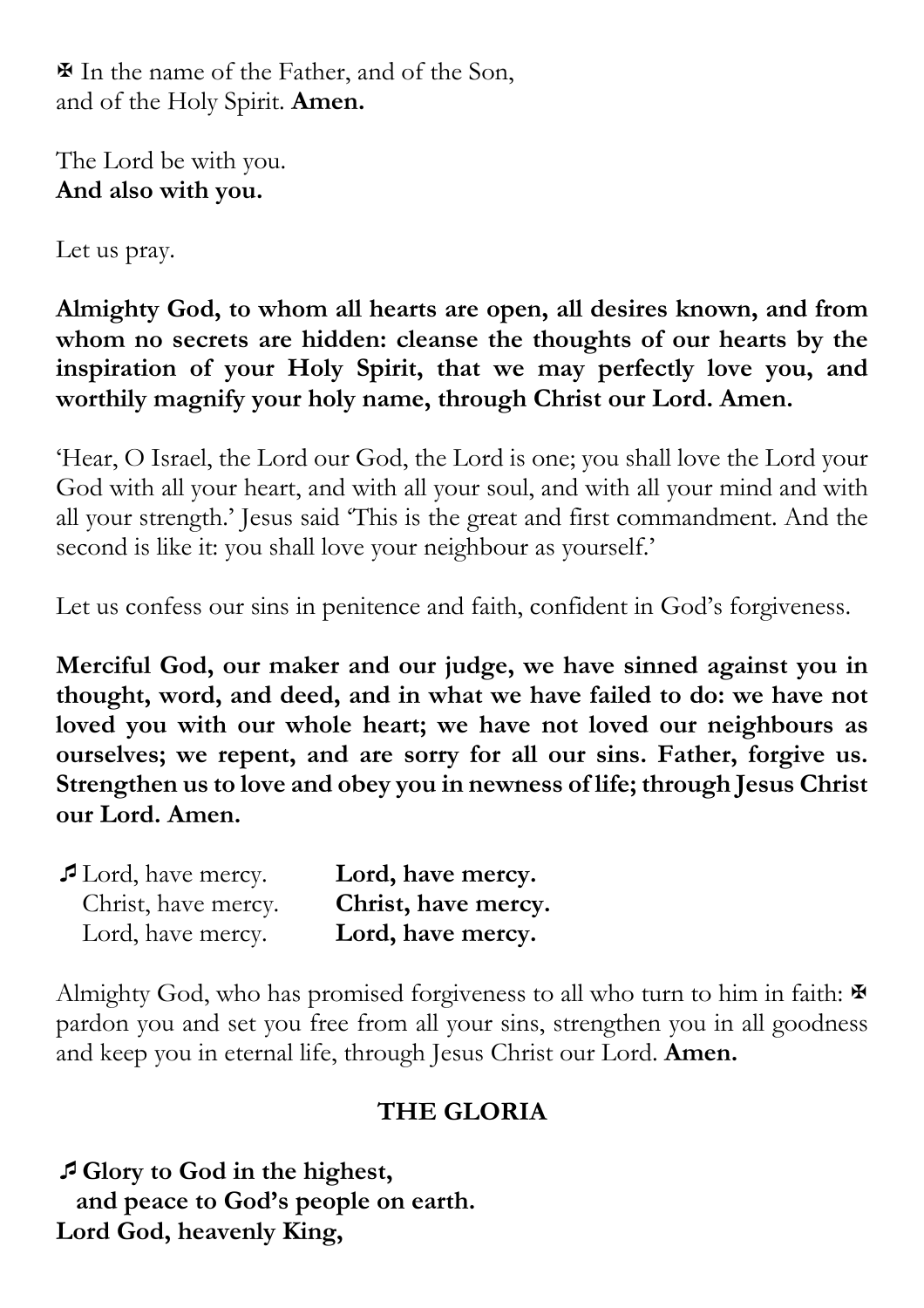X In the name of the Father, and of the Son, and of the Holy Spirit. **Amen.**

The Lord be with you. **And also with you.**

Let us pray.

**Almighty God, to whom all hearts are open, all desires known, and from whom no secrets are hidden: cleanse the thoughts of our hearts by the inspiration of your Holy Spirit, that we may perfectly love you, and worthily magnify your holy name, through Christ our Lord. Amen.**

'Hear, O Israel, the Lord our God, the Lord is one; you shall love the Lord your God with all your heart, and with all your soul, and with all your mind and with all your strength.' Jesus said 'This is the great and first commandment. And the second is like it: you shall love your neighbour as yourself.'

Let us confess our sins in penitence and faith, confident in God's forgiveness.

**Merciful God, our maker and our judge, we have sinned against you in thought, word, and deed, and in what we have failed to do: we have not loved you with our whole heart; we have not loved our neighbours as ourselves; we repent, and are sorry for all our sins. Father, forgive us. Strengthen us to love and obey you in newness of life; through Jesus Christ our Lord. Amen.**

| $\blacktriangleright$ Lord, have mercy. | Lord, have mercy.   |
|-----------------------------------------|---------------------|
| Christ, have mercy.                     | Christ, have mercy. |
| Lord, have mercy.                       | Lord, have mercy.   |

Almighty God, who has promised forgiveness to all who turn to him in faith:  $\mathbb{F}$ pardon you and set you free from all your sins, strengthen you in all goodness and keep you in eternal life, through Jesus Christ our Lord. **Amen.**

## **THE GLORIA**

¯**Glory to God in the highest, and peace to God's people on earth. Lord God, heavenly King,**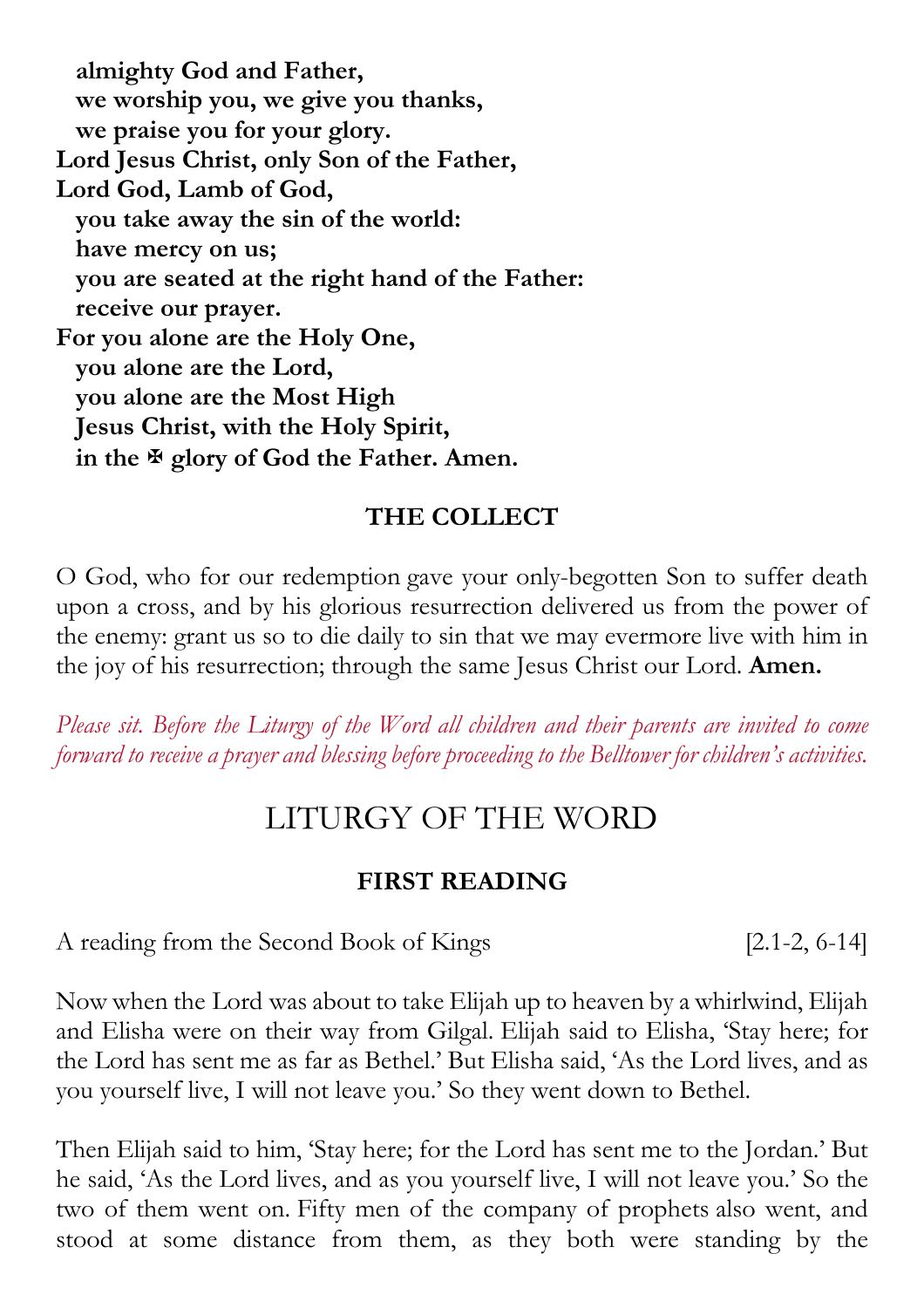**almighty God and Father, we worship you, we give you thanks, we praise you for your glory. Lord Jesus Christ, only Son of the Father, Lord God, Lamb of God, you take away the sin of the world: have mercy on us; you are seated at the right hand of the Father: receive our prayer. For you alone are the Holy One, you alone are the Lord, you alone are the Most High Jesus Christ, with the Holy Spirit, in the** X **glory of God the Father. Amen.**

#### **THE COLLECT**

O God, who for our redemption gave your only-begotten Son to suffer death upon a cross, and by his glorious resurrection delivered us from the power of the enemy: grant us so to die daily to sin that we may evermore live with him in the joy of his resurrection; through the same Jesus Christ our Lord. **Amen.**

*Please sit. Before the Liturgy of the Word all children and their parents are invited to come forward to receive a prayer and blessing before proceeding to the Belltower for children's activities.*

## LITURGY OF THE WORD

#### **FIRST READING**

A reading from the Second Book of Kings [2.1-2, 6-14]

Now when the Lord was about to take Elijah up to heaven by a whirlwind, Elijah and Elisha were on their way from Gilgal. Elijah said to Elisha, 'Stay here; for the Lord has sent me as far as Bethel.' But Elisha said, 'As the Lord lives, and as you yourself live, I will not leave you.' So they went down to Bethel.

Then Elijah said to him, 'Stay here; for the Lord has sent me to the Jordan.' But he said, 'As the Lord lives, and as you yourself live, I will not leave you.' So the two of them went on. Fifty men of the company of prophets also went, and stood at some distance from them, as they both were standing by the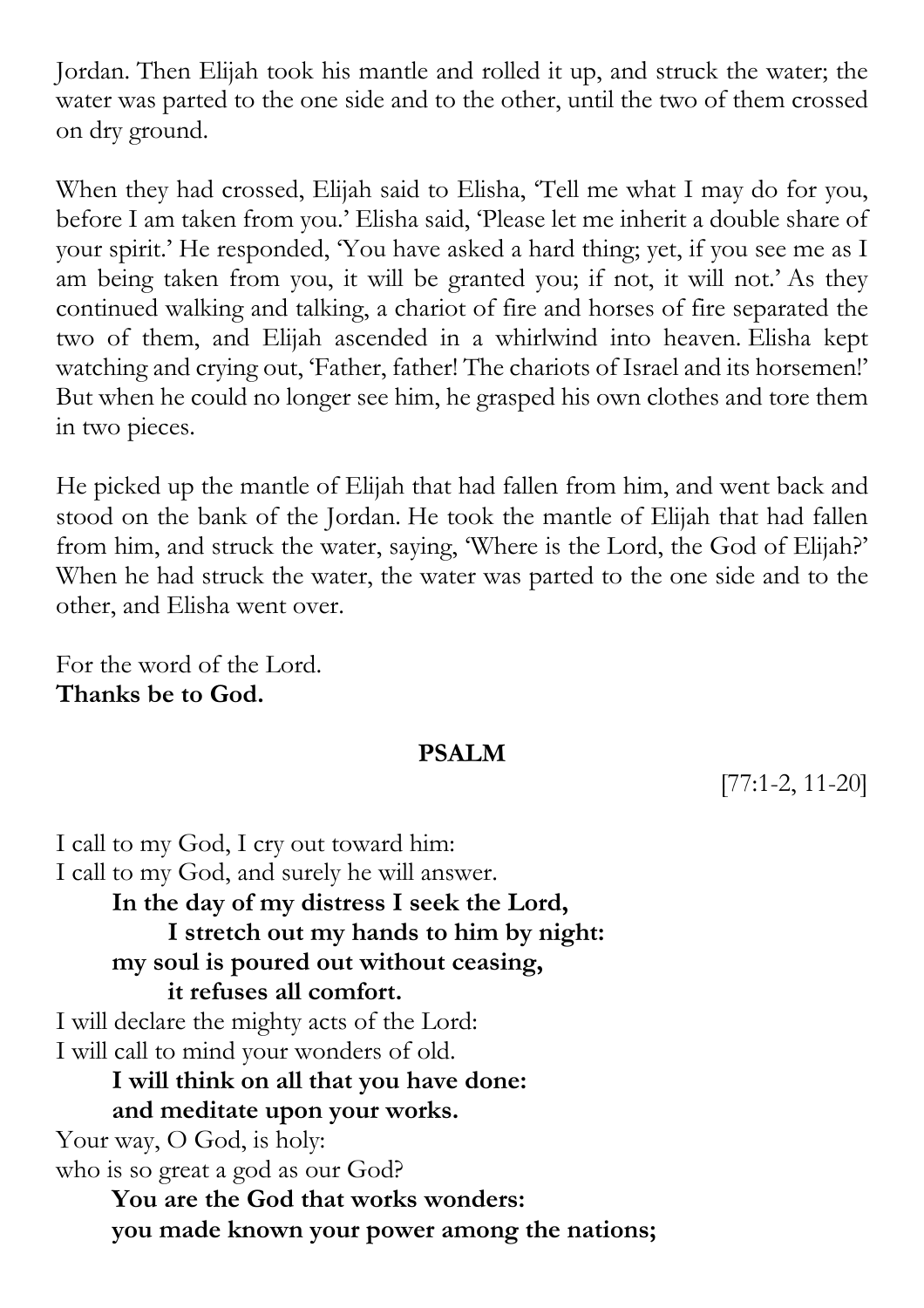Jordan. Then Elijah took his mantle and rolled it up, and struck the water; the water was parted to the one side and to the other, until the two of them crossed on dry ground.

When they had crossed, Elijah said to Elisha, 'Tell me what I may do for you, before I am taken from you.' Elisha said, 'Please let me inherit a double share of your spirit.' He responded, 'You have asked a hard thing; yet, if you see me as I am being taken from you, it will be granted you; if not, it will not.' As they continued walking and talking, a chariot of fire and horses of fire separated the two of them, and Elijah ascended in a whirlwind into heaven. Elisha kept watching and crying out, 'Father, father! The chariots of Israel and its horsemen!' But when he could no longer see him, he grasped his own clothes and tore them in two pieces.

He picked up the mantle of Elijah that had fallen from him, and went back and stood on the bank of the Jordan. He took the mantle of Elijah that had fallen from him, and struck the water, saying, 'Where is the Lord, the God of Elijah?' When he had struck the water, the water was parted to the one side and to the other, and Elisha went over.

For the word of the Lord. **Thanks be to God.**

#### **PSALM**

[77:1-2, 11-20]

I call to my God, I cry out toward him: I call to my God, and surely he will answer. **In the day of my distress I seek the Lord, I stretch out my hands to him by night: my soul is poured out without ceasing, it refuses all comfort.** I will declare the mighty acts of the Lord: I will call to mind your wonders of old. **I will think on all that you have done: and meditate upon your works.** Your way, O God, is holy: who is so great a god as our God? **You are the God that works wonders: you made known your power among the nations;**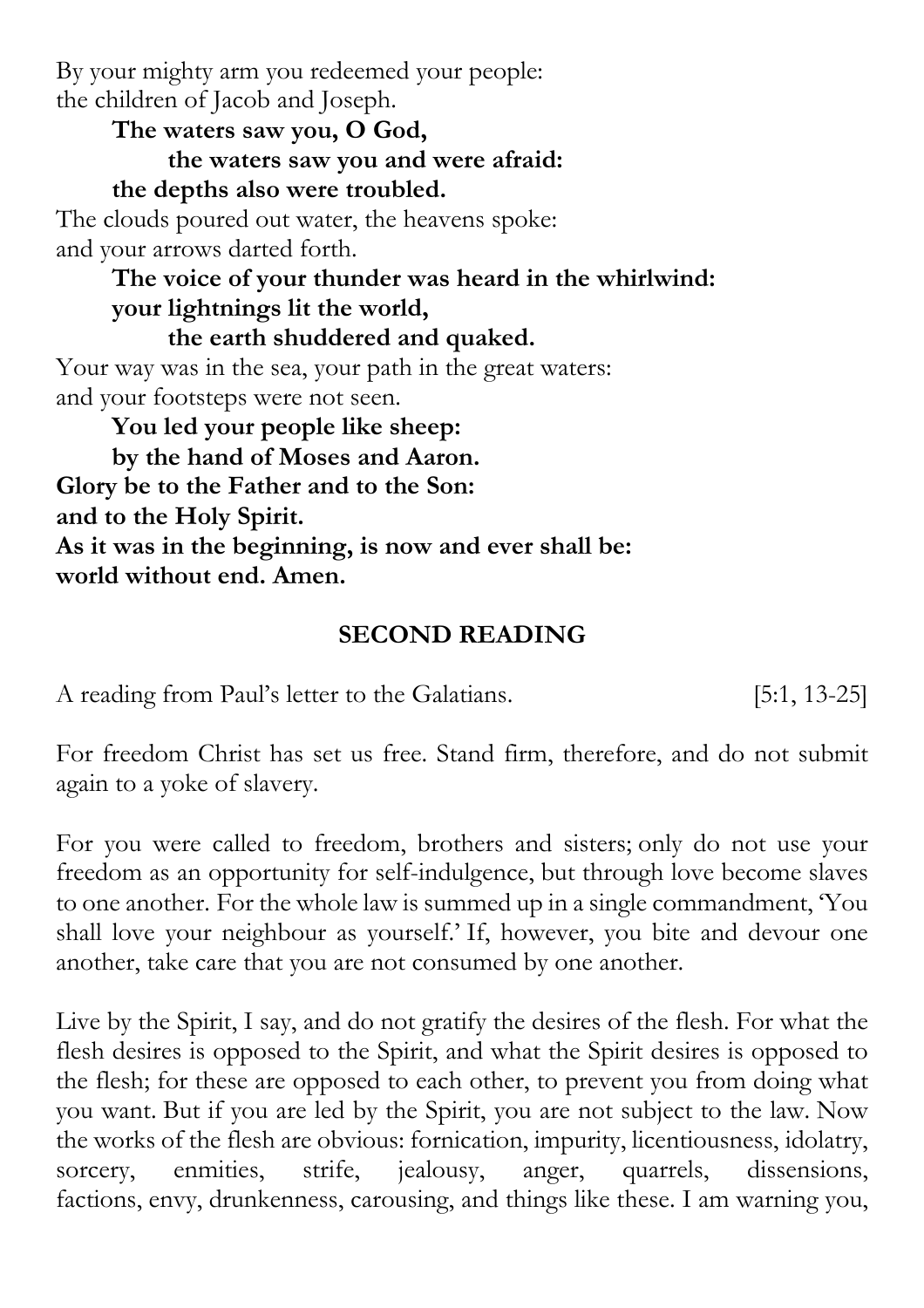By your mighty arm you redeemed your people: the children of Jacob and Joseph.

**The waters saw you, O God, the waters saw you and were afraid: the depths also were troubled.** The clouds poured out water, the heavens spoke: and your arrows darted forth. **The voice of your thunder was heard in the whirlwind: your lightnings lit the world, the earth shuddered and quaked.** Your way was in the sea, your path in the great waters: and your footsteps were not seen. **You led your people like sheep: by the hand of Moses and Aaron. Glory be to the Father and to the Son: and to the Holy Spirit.**

**As it was in the beginning, is now and ever shall be: world without end. Amen.** 

## **SECOND READING**

A reading from Paul's letter to the Galatians. [5:1, 13-25]

For freedom Christ has set us free. Stand firm, therefore, and do not submit again to a yoke of slavery.

For you were called to freedom, brothers and sisters; only do not use your freedom as an opportunity for self-indulgence, but through love become slaves to one another. For the whole law is summed up in a single commandment, 'You shall love your neighbour as yourself.' If, however, you bite and devour one another, take care that you are not consumed by one another.

Live by the Spirit, I say, and do not gratify the desires of the flesh. For what the flesh desires is opposed to the Spirit, and what the Spirit desires is opposed to the flesh; for these are opposed to each other, to prevent you from doing what you want. But if you are led by the Spirit, you are not subject to the law. Now the works of the flesh are obvious: fornication, impurity, licentiousness, idolatry, sorcery, enmities, strife, jealousy, anger, quarrels, dissensions, factions, envy, drunkenness, carousing, and things like these. I am warning you,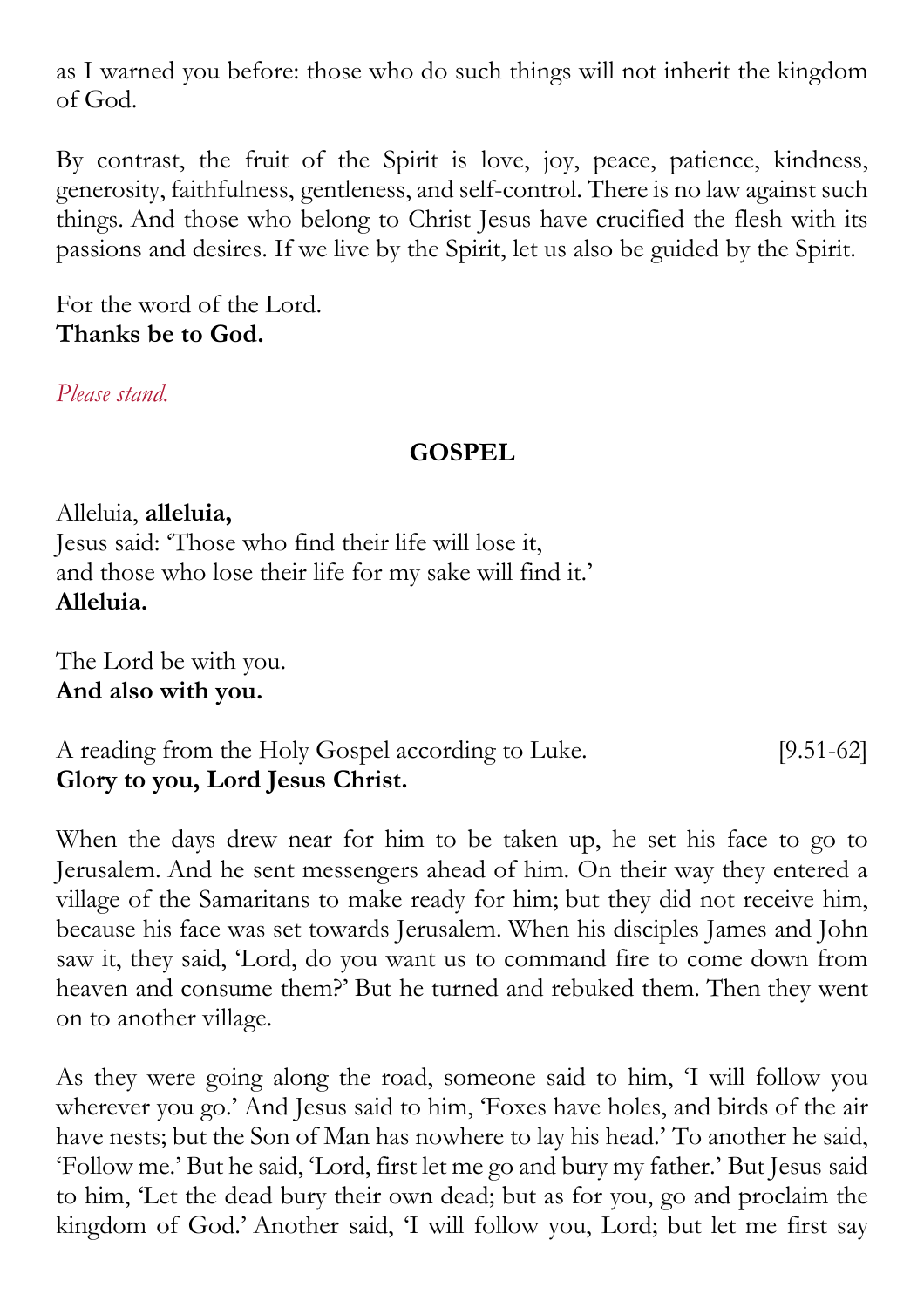as I warned you before: those who do such things will not inherit the kingdom of God.

By contrast, the fruit of the Spirit is love, joy, peace, patience, kindness, generosity, faithfulness, gentleness, and self-control. There is no law against such things. And those who belong to Christ Jesus have crucified the flesh with its passions and desires. If we live by the Spirit, let us also be guided by the Spirit.

For the word of the Lord. **Thanks be to God.**

*Please stand.*

#### **GOSPEL**

Alleluia, **alleluia,** Jesus said: 'Those who find their life will lose it, and those who lose their life for my sake will find it.' **Alleluia.**

The Lord be with you. **And also with you.**

A reading from the Holy Gospel according to Luke. [9.51-62] **Glory to you, Lord Jesus Christ.**

When the days drew near for him to be taken up, he set his face to go to Jerusalem. And he sent messengers ahead of him. On their way they entered a village of the Samaritans to make ready for him; but they did not receive him, because his face was set towards Jerusalem. When his disciples James and John saw it, they said, 'Lord, do you want us to command fire to come down from heaven and consume them?' But he turned and rebuked them. Then they went on to another village.

As they were going along the road, someone said to him, 'I will follow you wherever you go.' And Jesus said to him, 'Foxes have holes, and birds of the air have nests; but the Son of Man has nowhere to lay his head.' To another he said, 'Follow me.' But he said, 'Lord, first let me go and bury my father.' But Jesus said to him, 'Let the dead bury their own dead; but as for you, go and proclaim the kingdom of God.' Another said, 'I will follow you, Lord; but let me first say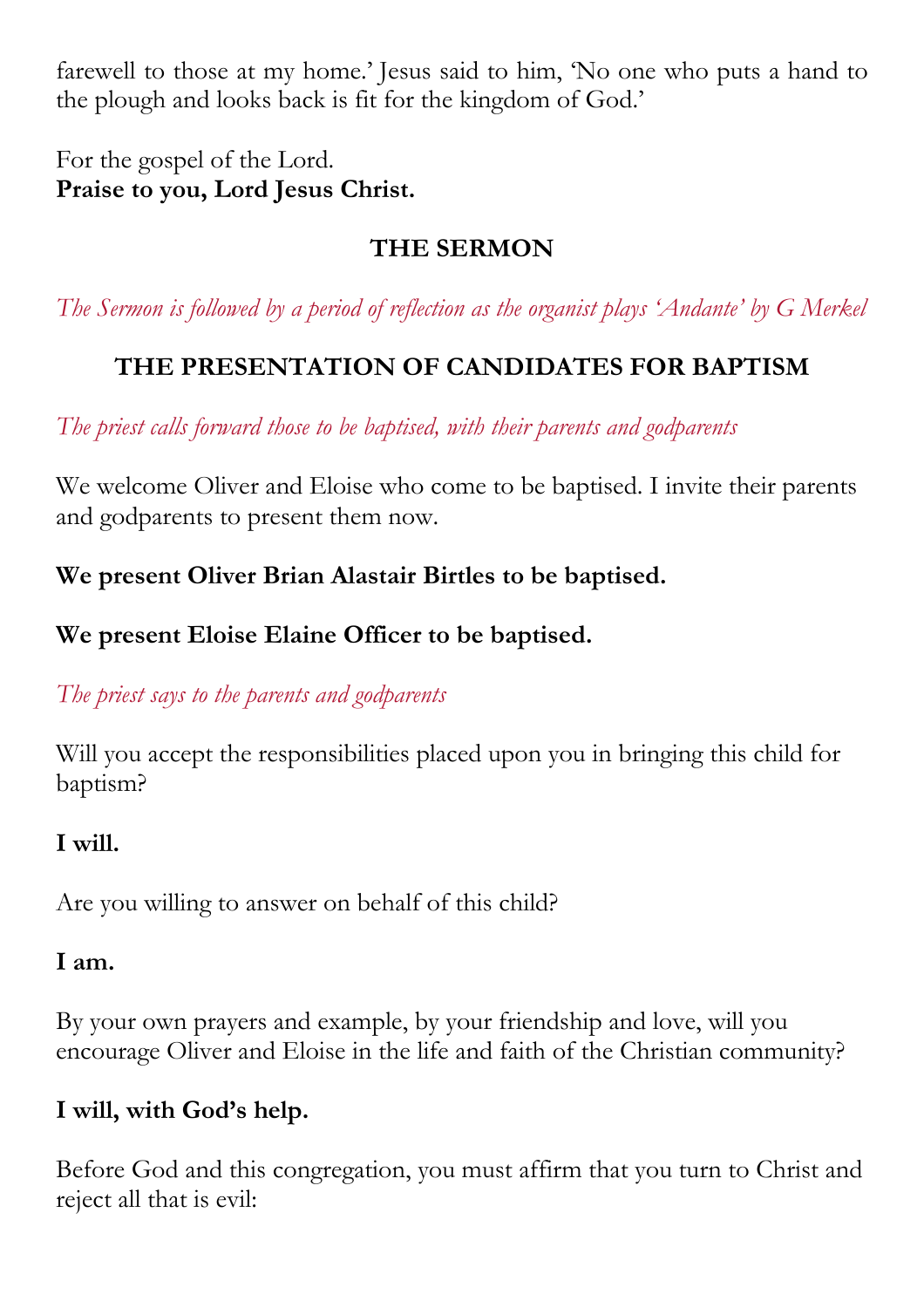farewell to those at my home.' Jesus said to him, 'No one who puts a hand to the plough and looks back is fit for the kingdom of God.'

For the gospel of the Lord. **Praise to you, Lord Jesus Christ.**

## **THE SERMON**

*The Sermon is followed by a period of reflection as the organist plays 'Andante' by G Merkel*

## **THE PRESENTATION OF CANDIDATES FOR BAPTISM**

*The priest calls forward those to be baptised, with their parents and godparents*

We welcome Oliver and Eloise who come to be baptised. I invite their parents and godparents to present them now.

## **We present Oliver Brian Alastair Birtles to be baptised.**

## **We present Eloise Elaine Officer to be baptised.**

## *The priest says to the parents and godparents*

Will you accept the responsibilities placed upon you in bringing this child for baptism?

## **I will.**

Are you willing to answer on behalf of this child?

## **I am.**

By your own prayers and example, by your friendship and love, will you encourage Oliver and Eloise in the life and faith of the Christian community?

## **I will, with God's help.**

Before God and this congregation, you must affirm that you turn to Christ and reject all that is evil: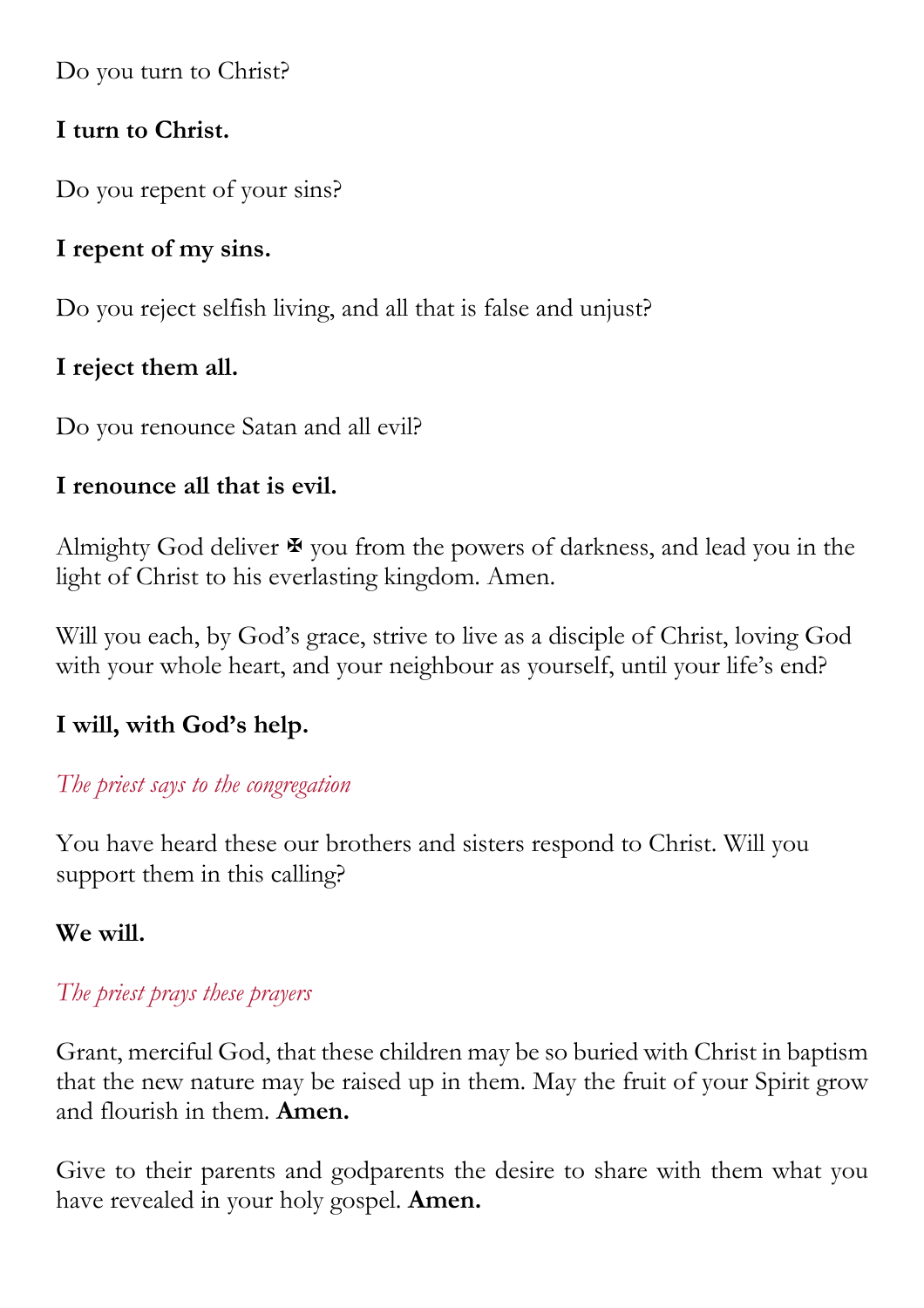Do you turn to Christ?

## **I turn to Christ.**

Do you repent of your sins?

## **I repent of my sins.**

Do you reject selfish living, and all that is false and unjust?

## **I reject them all.**

Do you renounce Satan and all evil?

## **I renounce all that is evil.**

Almighty God deliver  $\mathbb F$  you from the powers of darkness, and lead you in the light of Christ to his everlasting kingdom. Amen.

Will you each, by God's grace, strive to live as a disciple of Christ, loving God with your whole heart, and your neighbour as yourself, until your life's end?

## **I will, with God's help.**

## *The priest says to the congregation*

You have heard these our brothers and sisters respond to Christ. Will you support them in this calling?

## **We will.**

## *The priest prays these prayers*

Grant, merciful God, that these children may be so buried with Christ in baptism that the new nature may be raised up in them. May the fruit of your Spirit grow and flourish in them. **Amen.**

Give to their parents and godparents the desire to share with them what you have revealed in your holy gospel. **Amen.**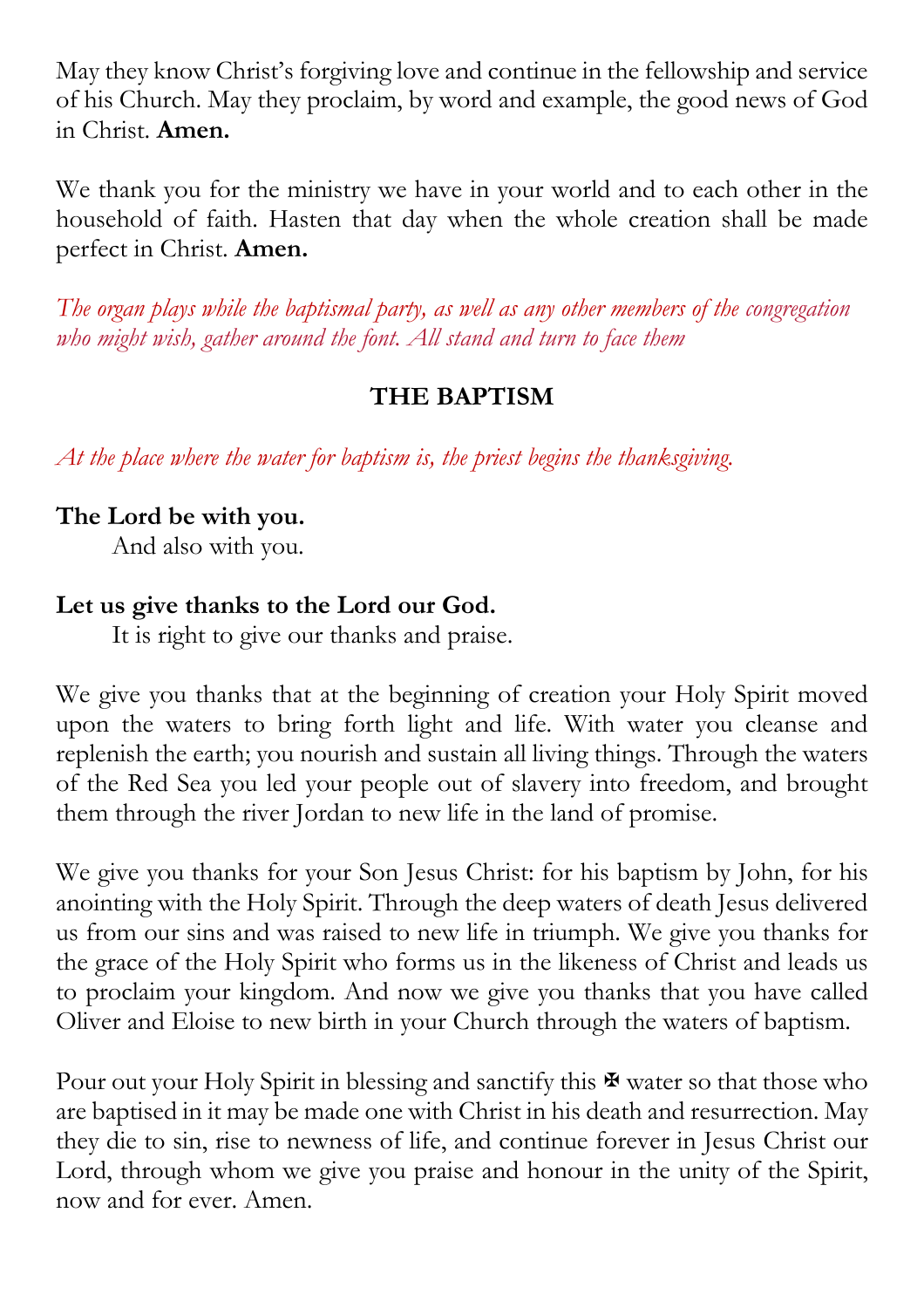May they know Christ's forgiving love and continue in the fellowship and service of his Church. May they proclaim, by word and example, the good news of God in Christ. **Amen.**

We thank you for the ministry we have in your world and to each other in the household of faith. Hasten that day when the whole creation shall be made perfect in Christ. **Amen.**

*The organ plays while the baptismal party, as well as any other members of the congregation who might wish, gather around the font. All stand and turn to face them*

## **THE BAPTISM**

*At the place where the water for baptism is, the priest begins the thanksgiving.*

#### **The Lord be with you.**

And also with you.

#### **Let us give thanks to the Lord our God.**

It is right to give our thanks and praise.

We give you thanks that at the beginning of creation your Holy Spirit moved upon the waters to bring forth light and life. With water you cleanse and replenish the earth; you nourish and sustain all living things. Through the waters of the Red Sea you led your people out of slavery into freedom, and brought them through the river Jordan to new life in the land of promise.

We give you thanks for your Son Jesus Christ: for his baptism by John, for his anointing with the Holy Spirit. Through the deep waters of death Jesus delivered us from our sins and was raised to new life in triumph. We give you thanks for the grace of the Holy Spirit who forms us in the likeness of Christ and leads us to proclaim your kingdom. And now we give you thanks that you have called Oliver and Eloise to new birth in your Church through the waters of baptism.

Pour out your Holy Spirit in blessing and sanctify this  $\mathbf{\Psi}$  water so that those who are baptised in it may be made one with Christ in his death and resurrection. May they die to sin, rise to newness of life, and continue forever in Jesus Christ our Lord, through whom we give you praise and honour in the unity of the Spirit, now and for ever. Amen.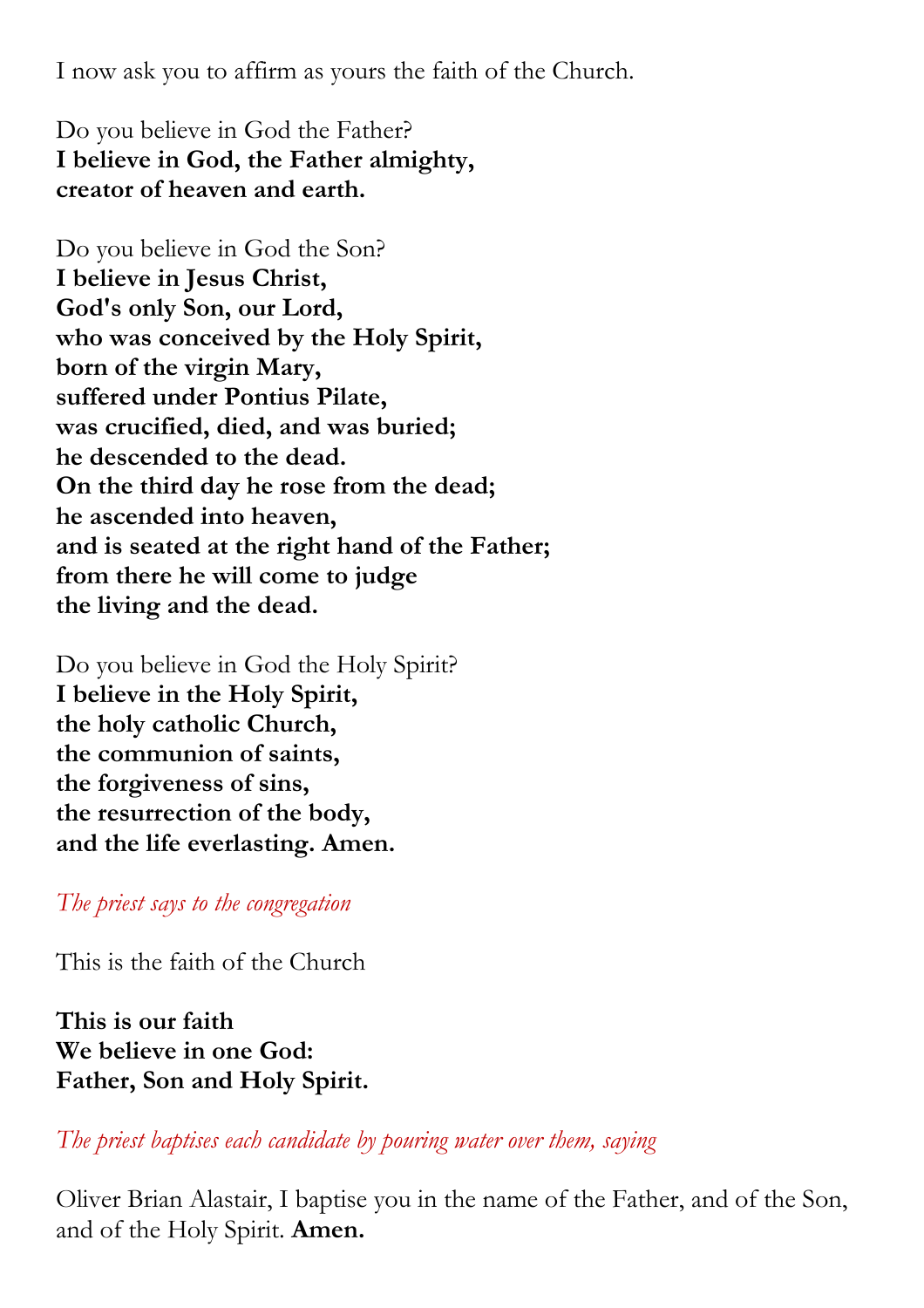I now ask you to affirm as yours the faith of the Church.

Do you believe in God the Father? **I believe in God, the Father almighty, creator of heaven and earth.**

Do you believe in God the Son? **I believe in Jesus Christ, God's only Son, our Lord, who was conceived by the Holy Spirit, born of the virgin Mary, suffered under Pontius Pilate, was crucified, died, and was buried; he descended to the dead. On the third day he rose from the dead; he ascended into heaven, and is seated at the right hand of the Father; from there he will come to judge the living and the dead.**

Do you believe in God the Holy Spirit? **I believe in the Holy Spirit, the holy catholic Church, the communion of saints, the forgiveness of sins, the resurrection of the body, and the life everlasting. Amen.**

*The priest says to the congregation*

This is the faith of the Church

**This is our faith We believe in one God: Father, Son and Holy Spirit.**

*The priest baptises each candidate by pouring water over them, saying*

Oliver Brian Alastair, I baptise you in the name of the Father, and of the Son, and of the Holy Spirit. **Amen.**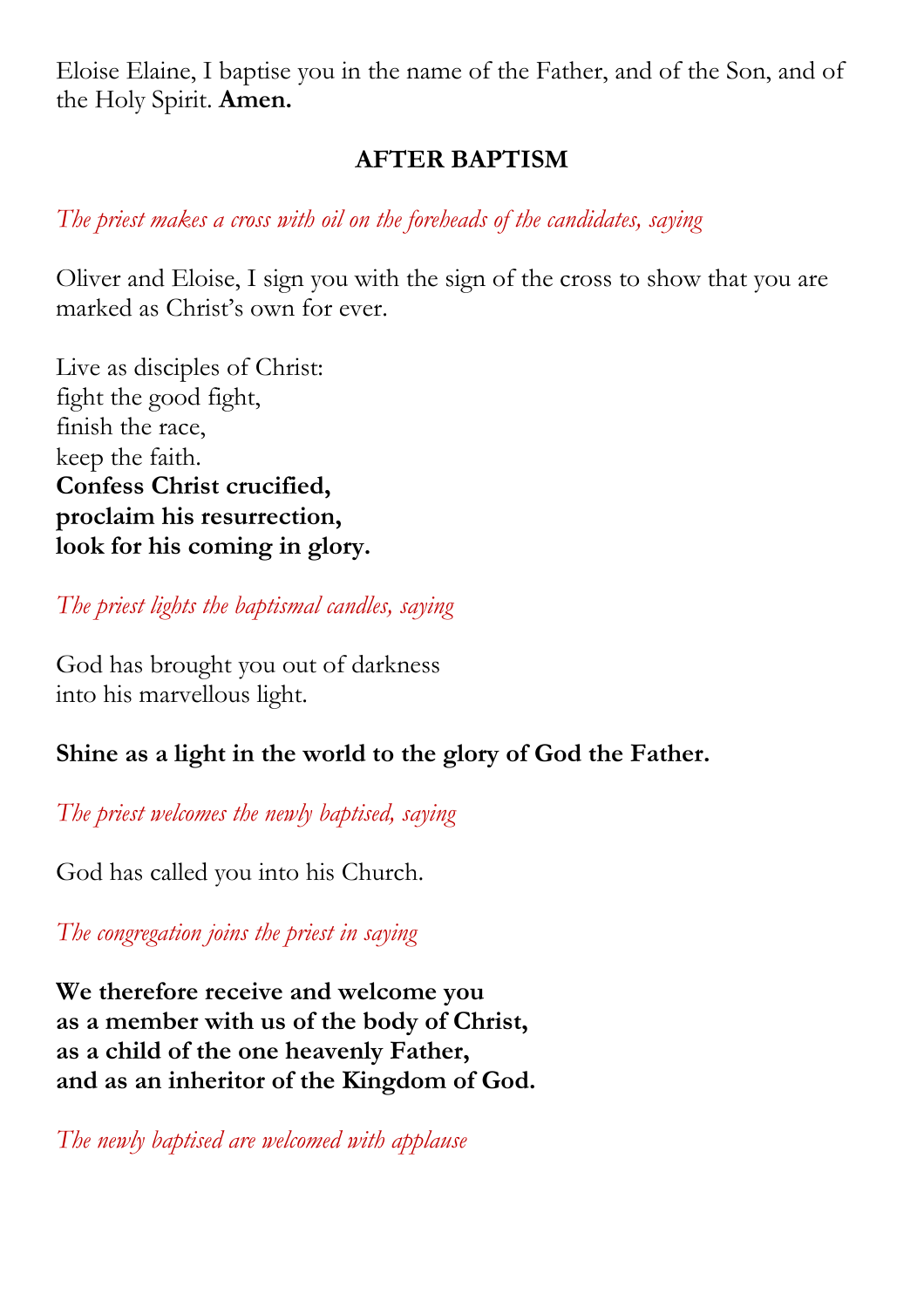Eloise Elaine, I baptise you in the name of the Father, and of the Son, and of the Holy Spirit. **Amen.**

## **AFTER BAPTISM**

*The priest makes a cross with oil on the foreheads of the candidates, saying*

Oliver and Eloise, I sign you with the sign of the cross to show that you are marked as Christ's own for ever.

Live as disciples of Christ: fight the good fight, finish the race, keep the faith. **Confess Christ crucified, proclaim his resurrection, look for his coming in glory.**

*The priest lights the baptismal candles, saying*

God has brought you out of darkness into his marvellous light.

## **Shine as a light in the world to the glory of God the Father.**

*The priest welcomes the newly baptised, saying*

God has called you into his Church.

*The congregation joins the priest in saying*

**We therefore receive and welcome you as a member with us of the body of Christ, as a child of the one heavenly Father, and as an inheritor of the Kingdom of God.**

*The newly baptised are welcomed with applause*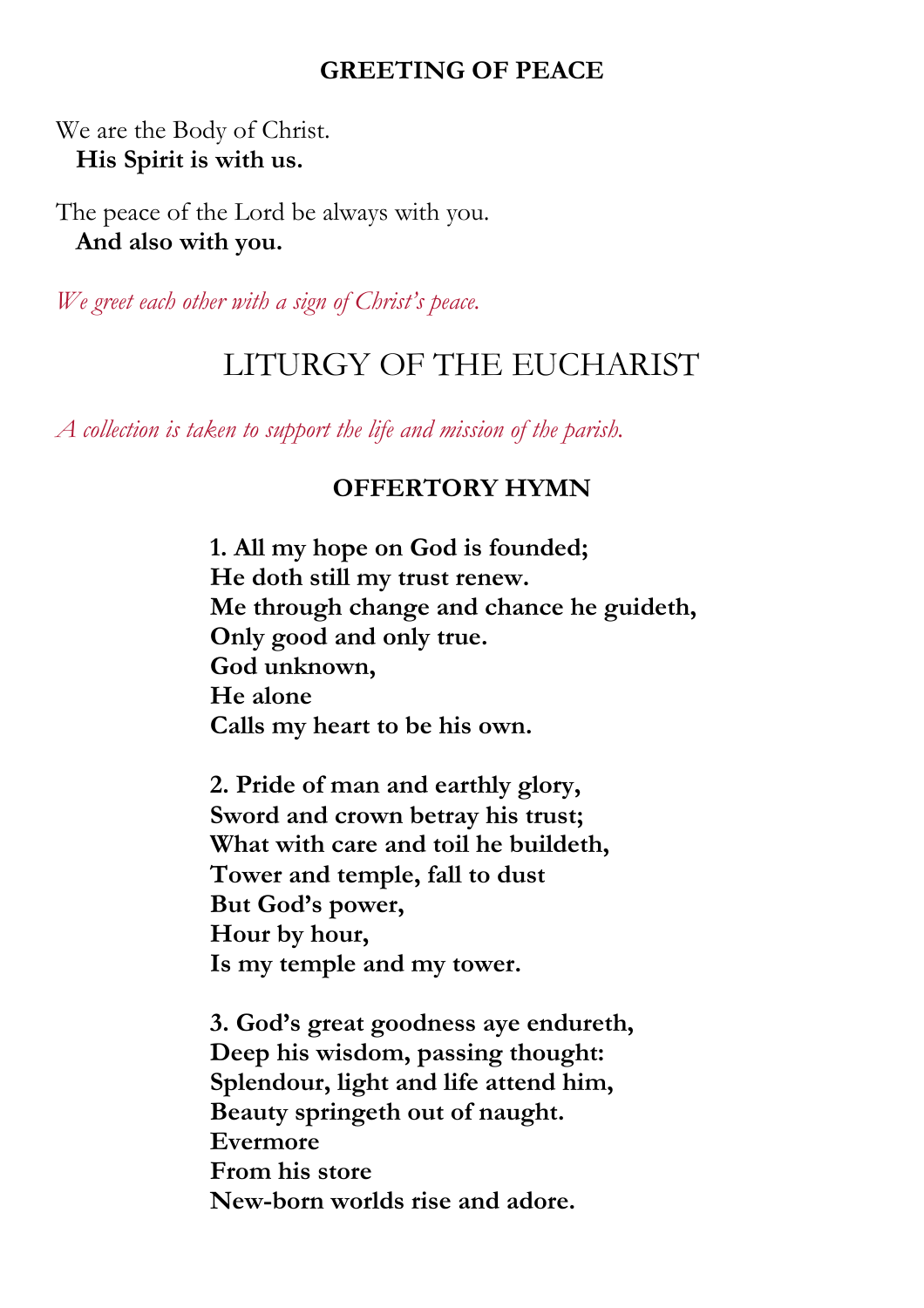#### **GREETING OF PEACE**

We are the Body of Christ. **His Spirit is with us.**

The peace of the Lord be always with you.  **And also with you.**

*We greet each other with a sign of Christ's peace.*

# LITURGY OF THE EUCHARIST

*A collection is taken to support the life and mission of the parish.*

#### **OFFERTORY HYMN**

**1. All my hope on God is founded; He doth still my trust renew. Me through change and chance he guideth, Only good and only true. God unknown, He alone Calls my heart to be his own.** 

**2. Pride of man and earthly glory, Sword and crown betray his trust; What with care and toil he buildeth, Tower and temple, fall to dust But God's power, Hour by hour, Is my temple and my tower.** 

**3. God's great goodness aye endureth, Deep his wisdom, passing thought: Splendour, light and life attend him, Beauty springeth out of naught. Evermore From his store New-born worlds rise and adore.**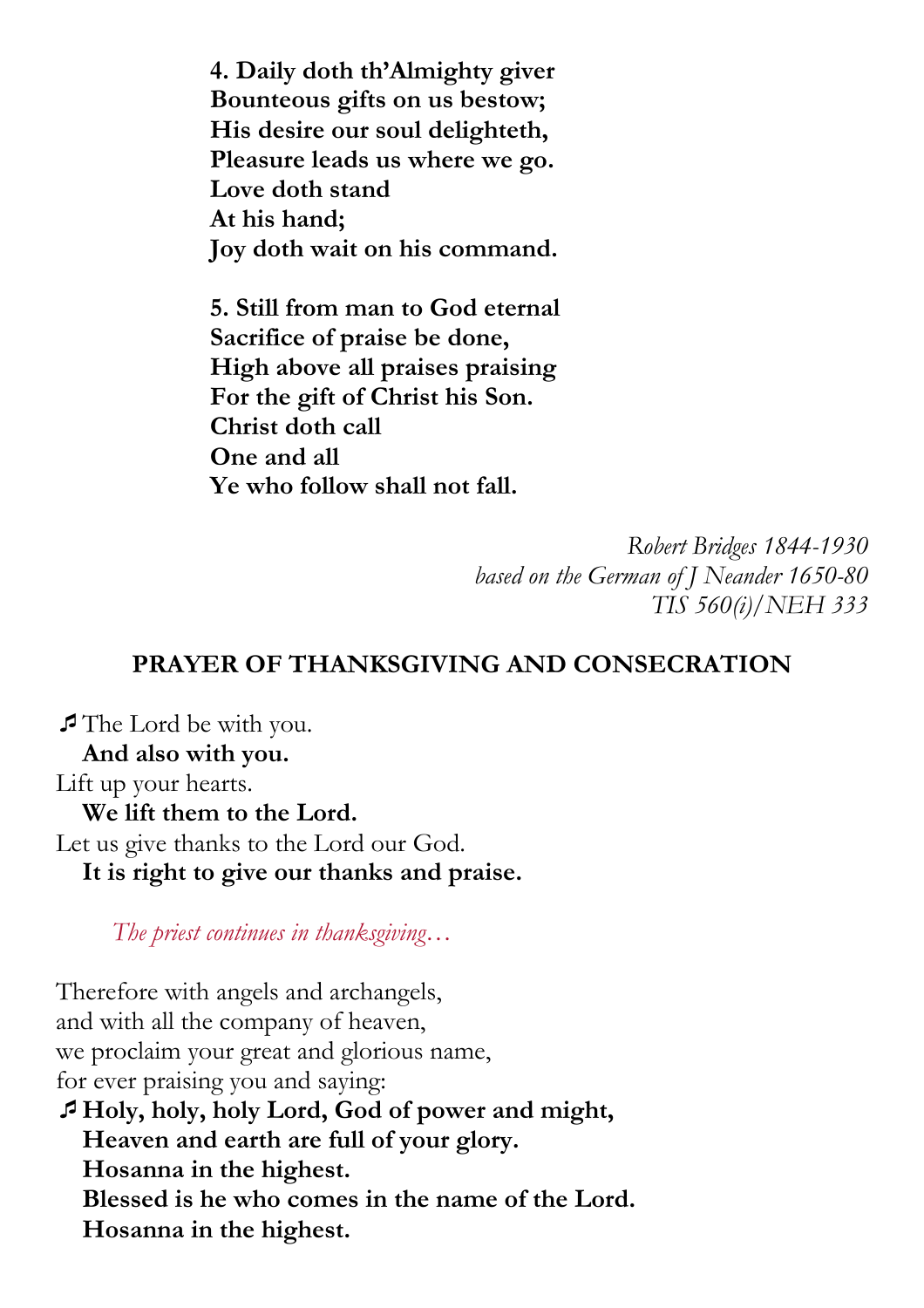**4. Daily doth th'Almighty giver Bounteous gifts on us bestow; His desire our soul delighteth, Pleasure leads us where we go. Love doth stand At his hand; Joy doth wait on his command.** 

**5. Still from man to God eternal Sacrifice of praise be done, High above all praises praising For the gift of Christ his Son. Christ doth call One and all Ye who follow shall not fall.**

> *Robert Bridges 1844-1930 based on the German of J Neander 1650-80 TIS 560(i)/NEH 333*

#### **PRAYER OF THANKSGIVING AND CONSECRATION**

¯The Lord be with you.  **And also with you.** Lift up your hearts.  **We lift them to the Lord.** Let us give thanks to the Lord our God.  **It is right to give our thanks and praise.**

*The priest continues in thanksgiving…*

Therefore with angels and archangels, and with all the company of heaven, we proclaim your great and glorious name, for ever praising you and saying: ¯**Holy, holy, holy Lord, God of power and might, Heaven and earth are full of your glory. Hosanna in the highest. Blessed is he who comes in the name of the Lord. Hosanna in the highest.**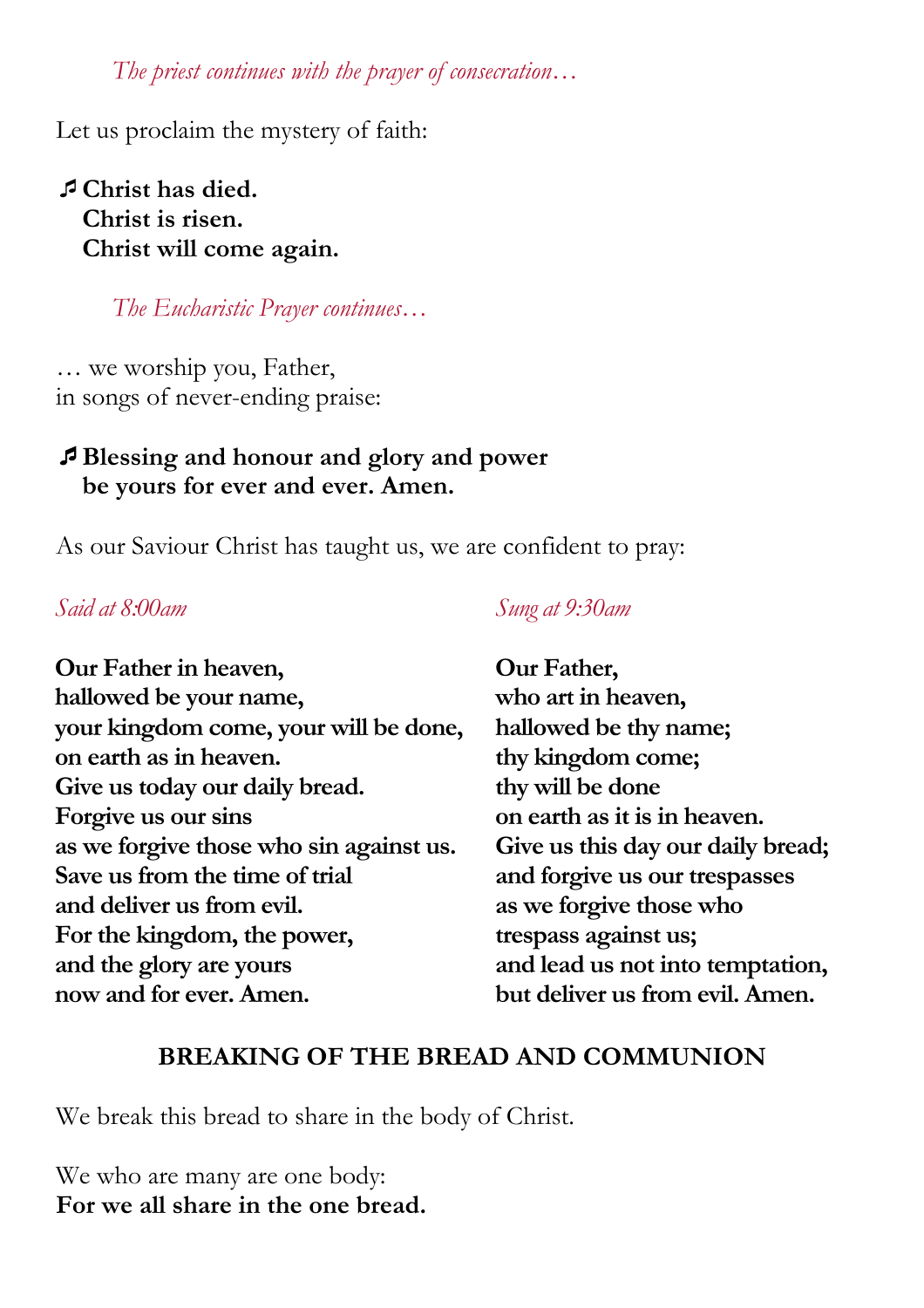*The priest continues with the prayer of consecration…*

Let us proclaim the mystery of faith:

¯**Christ has died. Christ is risen. Christ will come again.**

*The Eucharistic Prayer continues…*

… we worship you, Father, in songs of never-ending praise:

#### ¯**Blessing and honour and glory and power be yours for ever and ever. Amen.**

As our Saviour Christ has taught us, we are confident to pray:

#### *Said at 8:00am*

#### *Sung at 9:30am*

| Our Father in heaven,                   | Our Father,                       |  |
|-----------------------------------------|-----------------------------------|--|
| hallowed be your name,                  | who art in heaven,                |  |
| your kingdom come, your will be done,   | hallowed be thy name;             |  |
| on earth as in heaven.                  | thy kingdom come;                 |  |
| Give us today our daily bread.          | thy will be done                  |  |
| Forgive us our sins                     | on earth as it is in heaven.      |  |
| as we forgive those who sin against us. | Give us this day our daily bread; |  |
| Save us from the time of trial          | and forgive us our trespasses     |  |
| and deliver us from evil.               | as we forgive those who           |  |
| For the kingdom, the power,             | trespass against us;              |  |
| and the glory are yours                 | and lead us not into temptation,  |  |
| now and for ever. Amen.                 | but deliver us from evil. Amen.   |  |

#### **BREAKING OF THE BREAD AND COMMUNION**

We break this bread to share in the body of Christ.

We who are many are one body: **For we all share in the one bread.**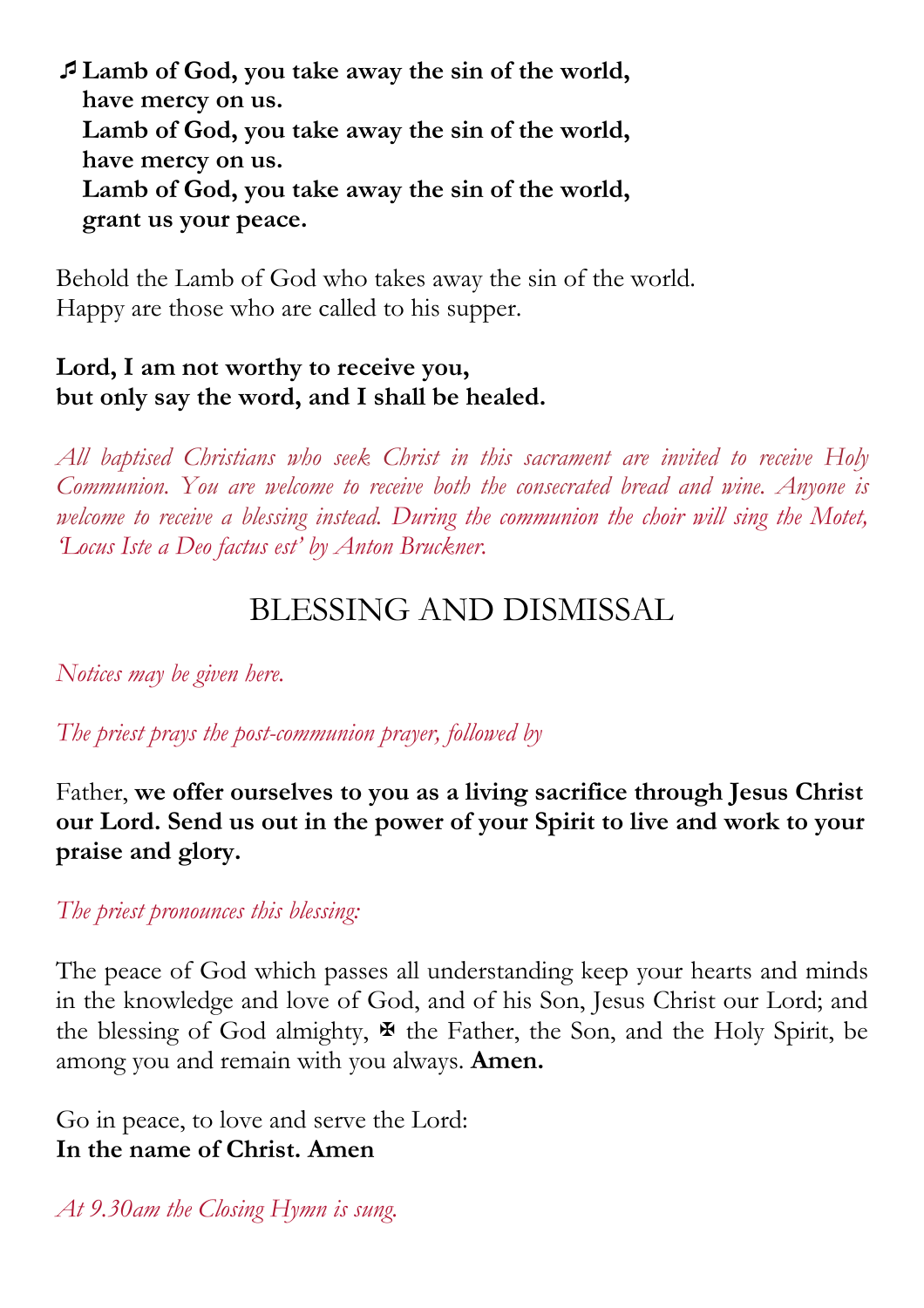¯**Lamb of God, you take away the sin of the world, have mercy on us. Lamb of God, you take away the sin of the world, have mercy on us. Lamb of God, you take away the sin of the world, grant us your peace.**

Behold the Lamb of God who takes away the sin of the world. Happy are those who are called to his supper.

#### **Lord, I am not worthy to receive you, but only say the word, and I shall be healed.**

*All baptised Christians who seek Christ in this sacrament are invited to receive Holy Communion. You are welcome to receive both the consecrated bread and wine. Anyone is welcome to receive a blessing instead. During the communion the choir will sing the Motet, 'Locus Iste a Deo factus est' by Anton Bruckner.*

# BLESSING AND DISMISSAL

*Notices may be given here.*

*The priest prays the post-communion prayer, followed by*

Father, **we offer ourselves to you as a living sacrifice through Jesus Christ our Lord. Send us out in the power of your Spirit to live and work to your praise and glory.**

*The priest pronounces this blessing:*

The peace of God which passes all understanding keep your hearts and minds in the knowledge and love of God, and of his Son, Jesus Christ our Lord; and the blessing of God almighty,  $\mathbf{\Psi}$  the Father, the Son, and the Holy Spirit, be among you and remain with you always. **Amen.**

Go in peace, to love and serve the Lord: **In the name of Christ. Amen**

*At 9.30am the Closing Hymn is sung.*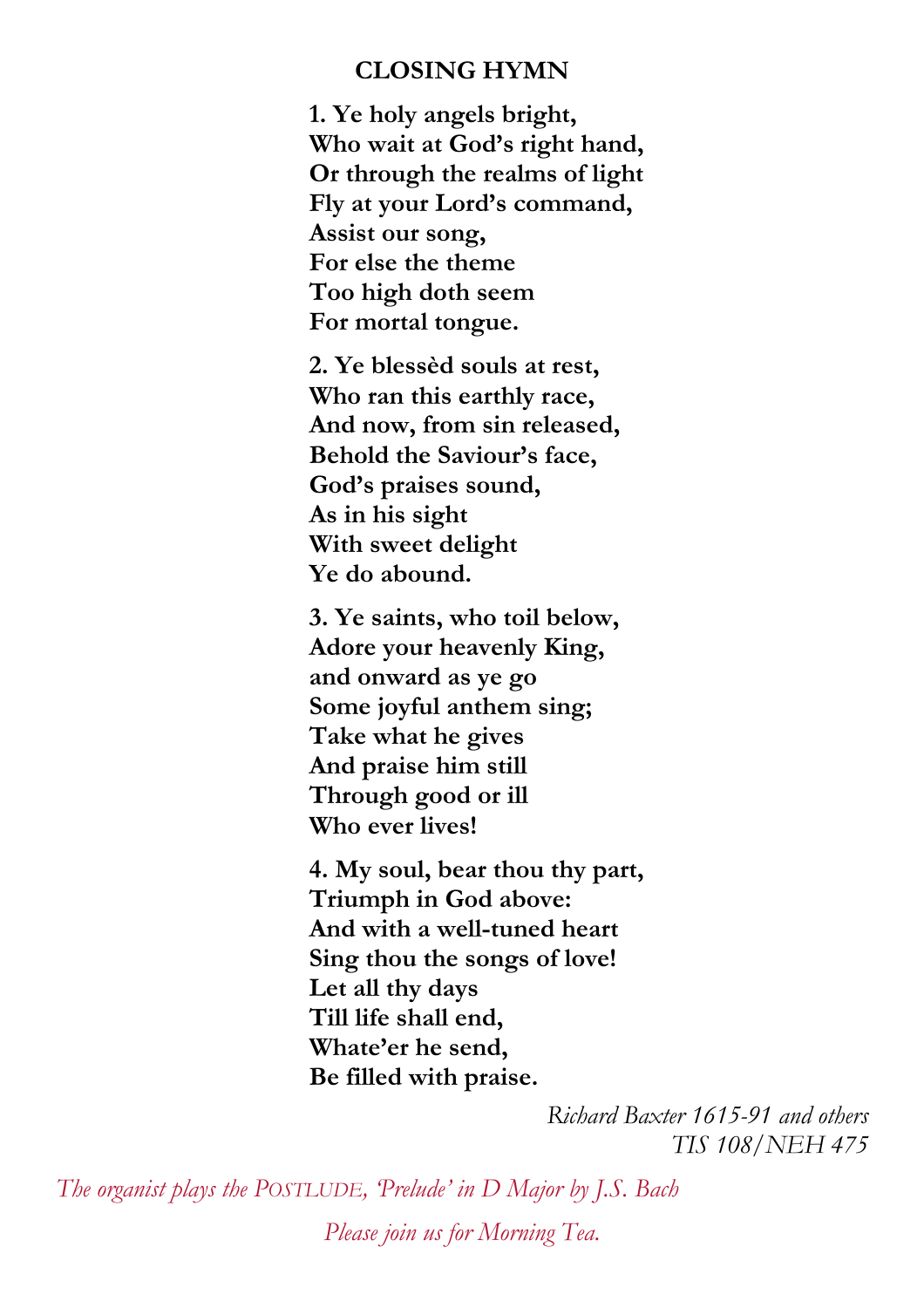#### **CLOSING HYMN**

**1. Ye holy angels bright, Who wait at God's right hand, Or through the realms of light Fly at your Lord's command, Assist our song, For else the theme Too high doth seem For mortal tongue.** 

**2. Ye blessèd souls at rest, Who ran this earthly race, And now, from sin released, Behold the Saviour's face, God's praises sound, As in his sight With sweet delight Ye do abound.**

**3. Ye saints, who toil below, Adore your heavenly King, and onward as ye go Some joyful anthem sing; Take what he gives And praise him still Through good or ill Who ever lives!**

**4. My soul, bear thou thy part, Triumph in God above: And with a well-tuned heart Sing thou the songs of love! Let all thy days Till life shall end, Whate'er he send, Be filled with praise.**

> *Richard Baxter 1615-91 and others TIS 108/NEH 475*

*The organist plays the POSTLUDE, 'Prelude' in D Major by J.S. Bach Please join us for Morning Tea.*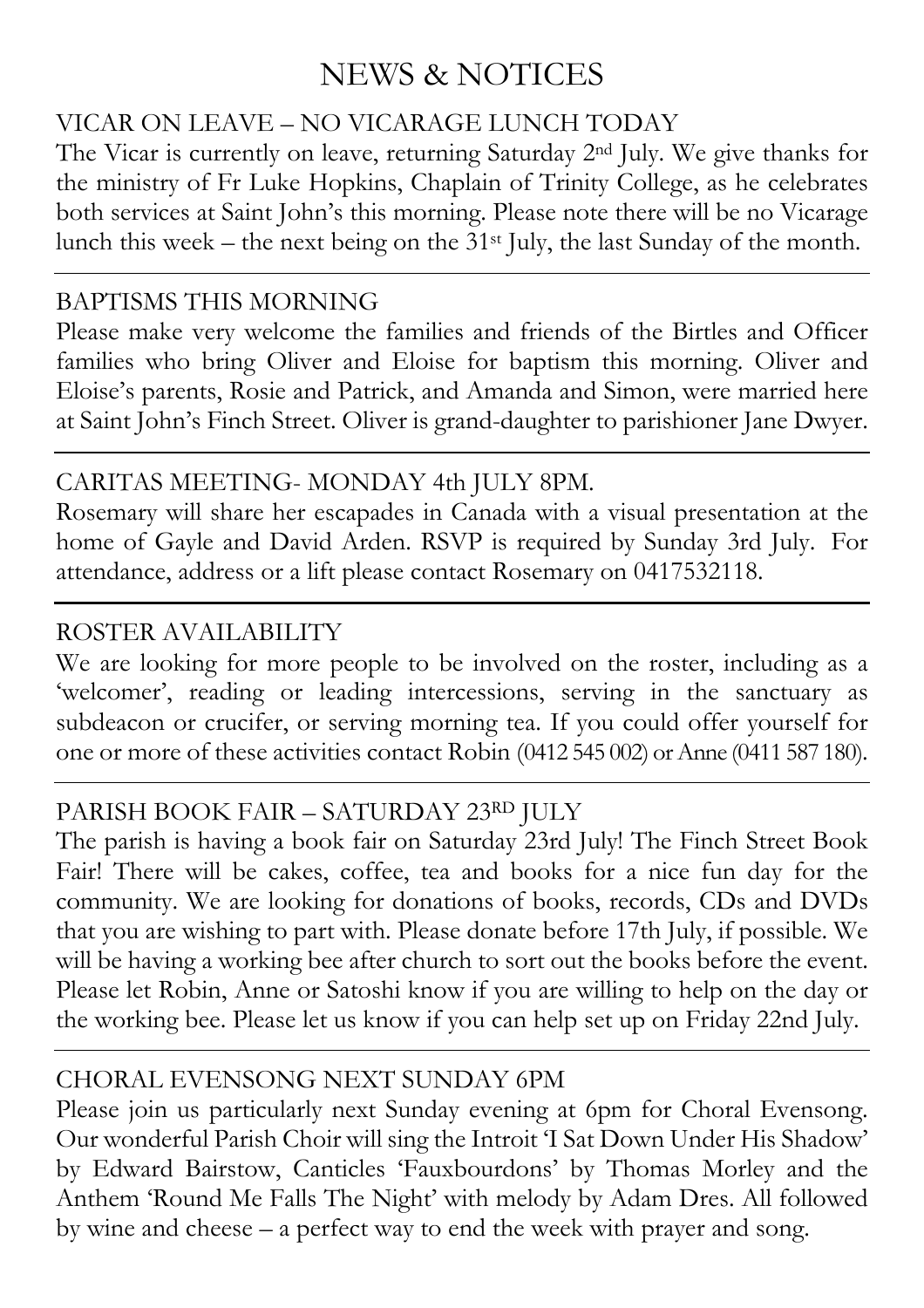# NEWS & NOTICES

## VICAR ON LEAVE – NO VICARAGE LUNCH TODAY

The Vicar is currently on leave, returning Saturday 2nd July. We give thanks for the ministry of Fr Luke Hopkins, Chaplain of Trinity College, as he celebrates both services at Saint John's this morning. Please note there will be no Vicarage lunch this week – the next being on the 31st July, the last Sunday of the month.

#### BAPTISMS THIS MORNING

Please make very welcome the families and friends of the Birtles and Officer families who bring Oliver and Eloise for baptism this morning. Oliver and Eloise's parents, Rosie and Patrick, and Amanda and Simon, were married here at Saint John's Finch Street. Oliver is grand-daughter to parishioner Jane Dwyer.

#### CARITAS MEETING- MONDAY 4th JULY 8PM.

Rosemary will share her escapades in Canada with a visual presentation at the home of Gayle and David Arden. RSVP is required by Sunday 3rd July. For attendance, address or a lift please contact Rosemary on 0417532118.

#### ROSTER AVAILABILITY

We are looking for more people to be involved on the roster, including as a 'welcomer', reading or leading intercessions, serving in the sanctuary as subdeacon or crucifer, or serving morning tea. If you could offer yourself for one or more of these activities contact Robin (0412 545 002) or Anne (0411 587 180).

## PARISH BOOK FAIR – SATURDAY 23RD JULY

The parish is having a book fair on Saturday 23rd July! The Finch Street Book Fair! There will be cakes, coffee, tea and books for a nice fun day for the community. We are looking for donations of books, records, CDs and DVDs that you are wishing to part with. Please donate before 17th July, if possible. We will be having a working bee after church to sort out the books before the event. Please let Robin, Anne or Satoshi know if you are willing to help on the day or the working bee. Please let us know if you can help set up on Friday 22nd July.

## CHORAL EVENSONG NEXT SUNDAY 6PM

Please join us particularly next Sunday evening at 6pm for Choral Evensong. Our wonderful Parish Choir will sing the Introit 'I Sat Down Under His Shadow' by Edward Bairstow, Canticles 'Fauxbourdons' by Thomas Morley and the Anthem 'Round Me Falls The Night' with melody by Adam Dres. All followed by wine and cheese – a perfect way to end the week with prayer and song.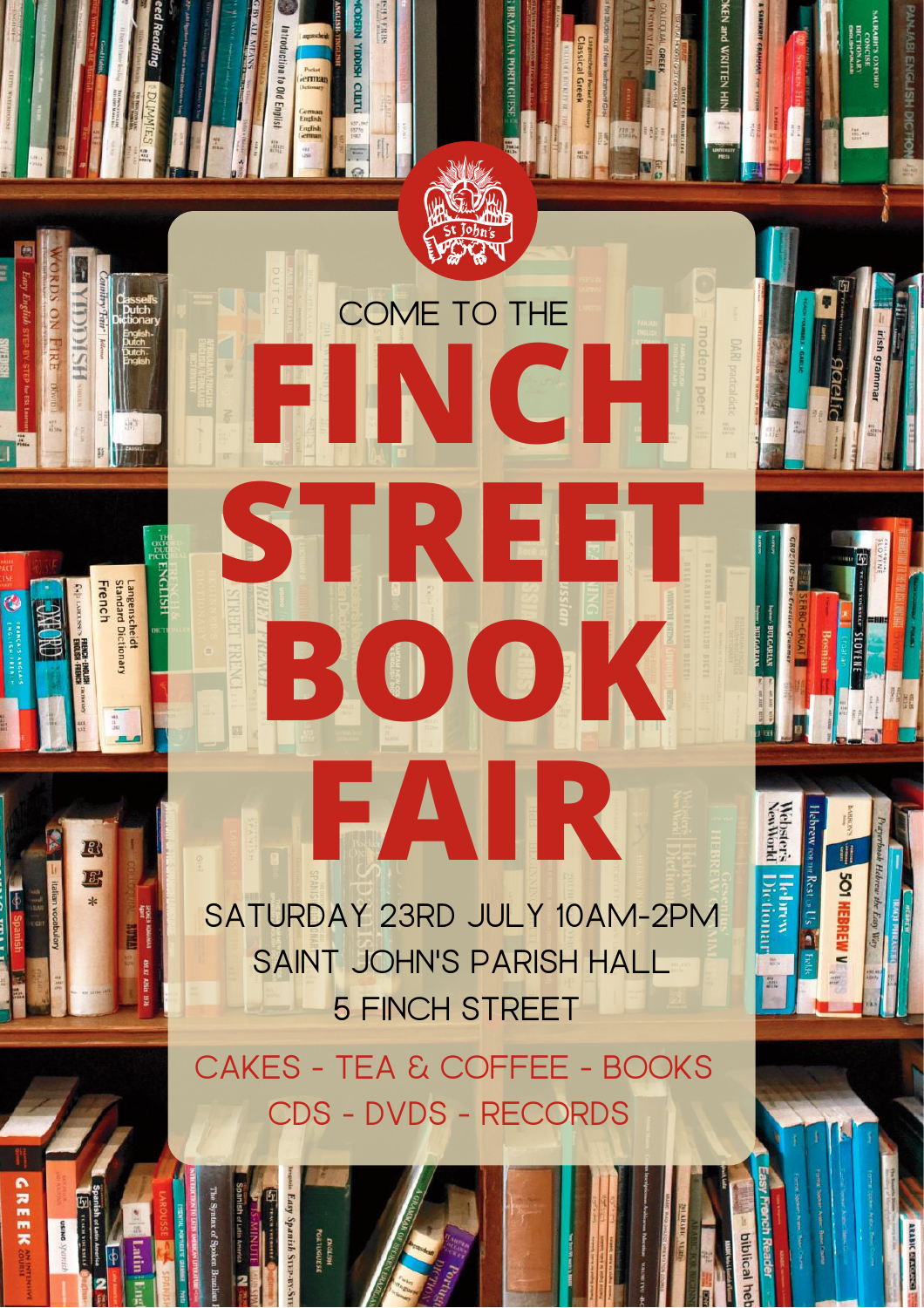SATURDAY 23RD JULY 10AM-2PM SAINT JOHN'S PARISH HALL 5 FINCH STREET

**FAIR**

ğ

**FINCH**

COME TO THE

on to Old Englis

**Standard Dictionar** 

R E

**GRE** 

**STREET** 

**BOOK**

CAKES - TEA & COFFEE - BOOKS CDS - DVDS - RECORDS